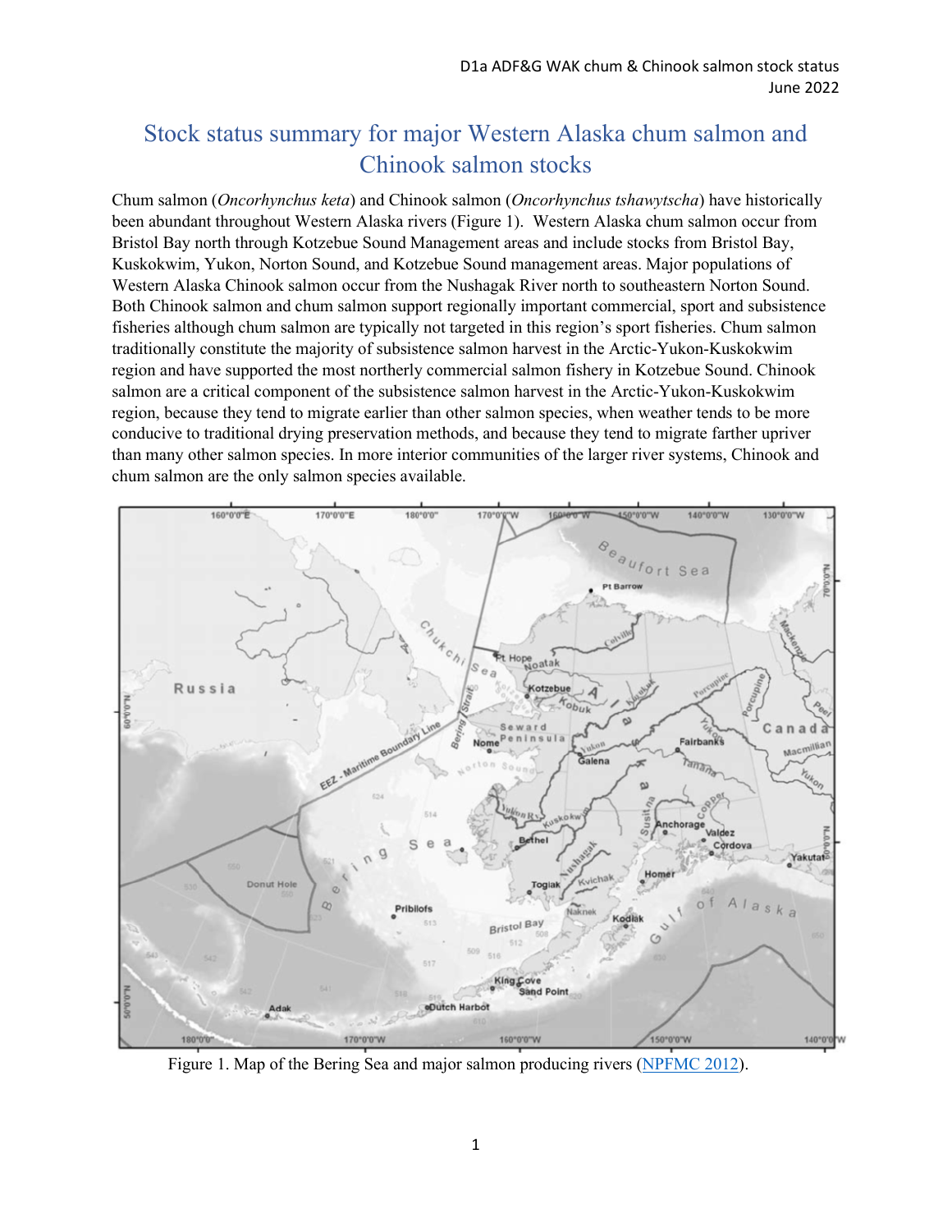## Stock status summary for major Western Alaska chum salmon and Chinook salmon stocks

Chum salmon (*Oncorhynchus keta*) and Chinook salmon (*Oncorhynchus tshawytscha*) have historically been abundant throughout Western Alaska rivers (Figure 1). Western Alaska chum salmon occur from Bristol Bay north through Kotzebue Sound Management areas and include stocks from Bristol Bay, Kuskokwim, Yukon, Norton Sound, and Kotzebue Sound management areas. Major populations of Western Alaska Chinook salmon occur from the Nushagak River north to southeastern Norton Sound. Both Chinook salmon and chum salmon support regionally important commercial, sport and subsistence fisheries although chum salmon are typically not targeted in this region's sport fisheries. Chum salmon traditionally constitute the majority of subsistence salmon harvest in the Arctic-Yukon-Kuskokwim region and have supported the most northerly commercial salmon fishery in Kotzebue Sound. Chinook salmon are a critical component of the subsistence salmon harvest in the Arctic-Yukon-Kuskokwim region, because they tend to migrate earlier than other salmon species, when weather tends to be more conducive to traditional drying preservation methods, and because they tend to migrate farther upriver than many other salmon species. In more interior communities of the larger river systems, Chinook and chum salmon are the only salmon species available.



Figure 1. Map of the Bering Sea and major salmon producing rivers [\(NPFMC 2012\)](https://www.npfmc.org/wp-content/PDFdocuments/bycatch/ChumPSC_EA1112.pdf).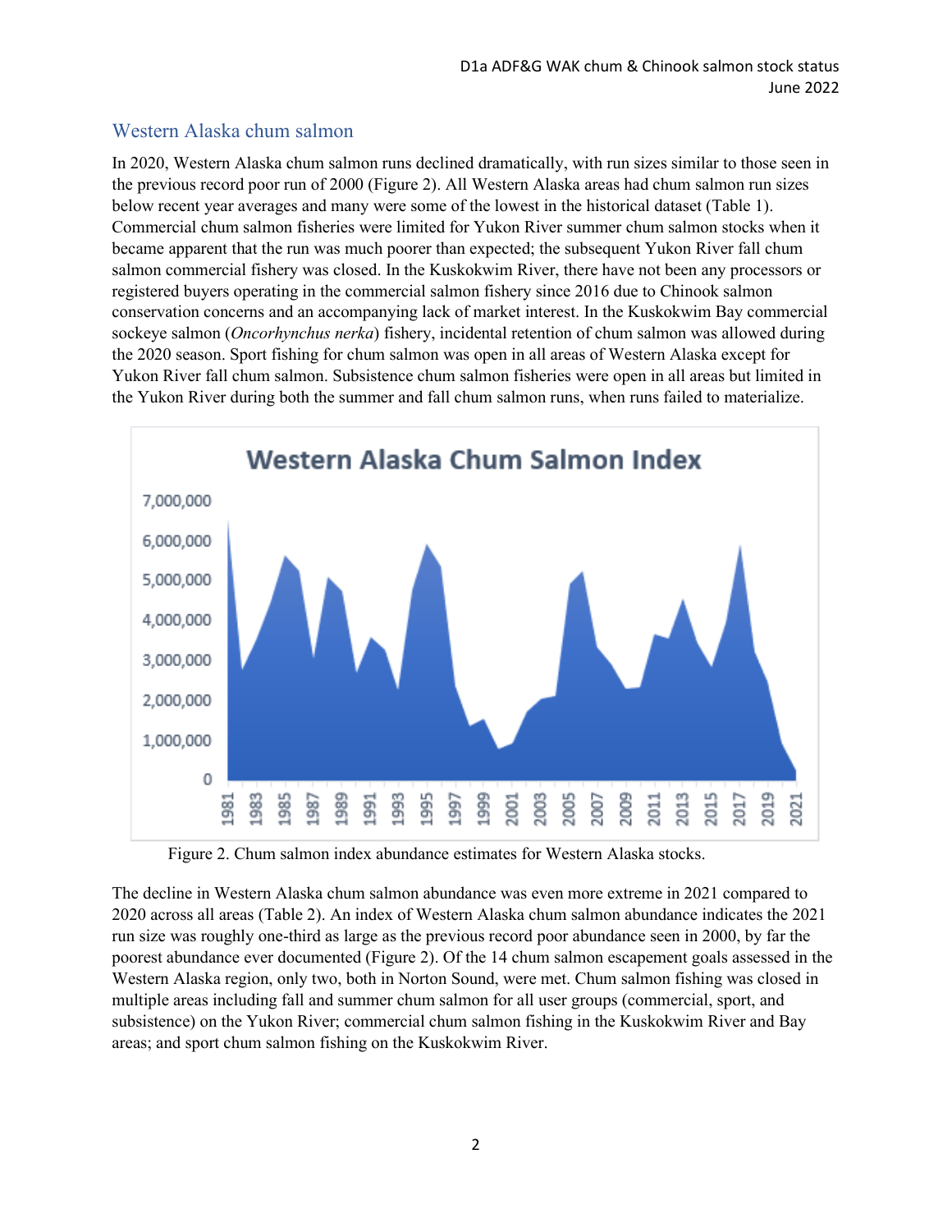## Western Alaska chum salmon

In 2020, Western Alaska chum salmon runs declined dramatically, with run sizes similar to those seen in the previous record poor run of 2000 (Figure 2). All Western Alaska areas had chum salmon run sizes below recent year averages and many were some of the lowest in the historical dataset (Table 1). Commercial chum salmon fisheries were limited for Yukon River summer chum salmon stocks when it became apparent that the run was much poorer than expected; the subsequent Yukon River fall chum salmon commercial fishery was closed. In the Kuskokwim River, there have not been any processors or registered buyers operating in the commercial salmon fishery since 2016 due to Chinook salmon conservation concerns and an accompanying lack of market interest. In the Kuskokwim Bay commercial sockeye salmon (*Oncorhynchus nerka*) fishery, incidental retention of chum salmon was allowed during the 2020 season. Sport fishing for chum salmon was open in all areas of Western Alaska except for Yukon River fall chum salmon. Subsistence chum salmon fisheries were open in all areas but limited in the Yukon River during both the summer and fall chum salmon runs, when runs failed to materialize.



Figure 2. Chum salmon index abundance estimates for Western Alaska stocks.

The decline in Western Alaska chum salmon abundance was even more extreme in 2021 compared to 2020 across all areas (Table 2). An index of Western Alaska chum salmon abundance indicates the 2021 run size was roughly one-third as large as the previous record poor abundance seen in 2000, by far the poorest abundance ever documented (Figure 2). Of the 14 chum salmon escapement goals assessed in the Western Alaska region, only two, both in Norton Sound, were met. Chum salmon fishing was closed in multiple areas including fall and summer chum salmon for all user groups (commercial, sport, and subsistence) on the Yukon River; commercial chum salmon fishing in the Kuskokwim River and Bay areas; and sport chum salmon fishing on the Kuskokwim River.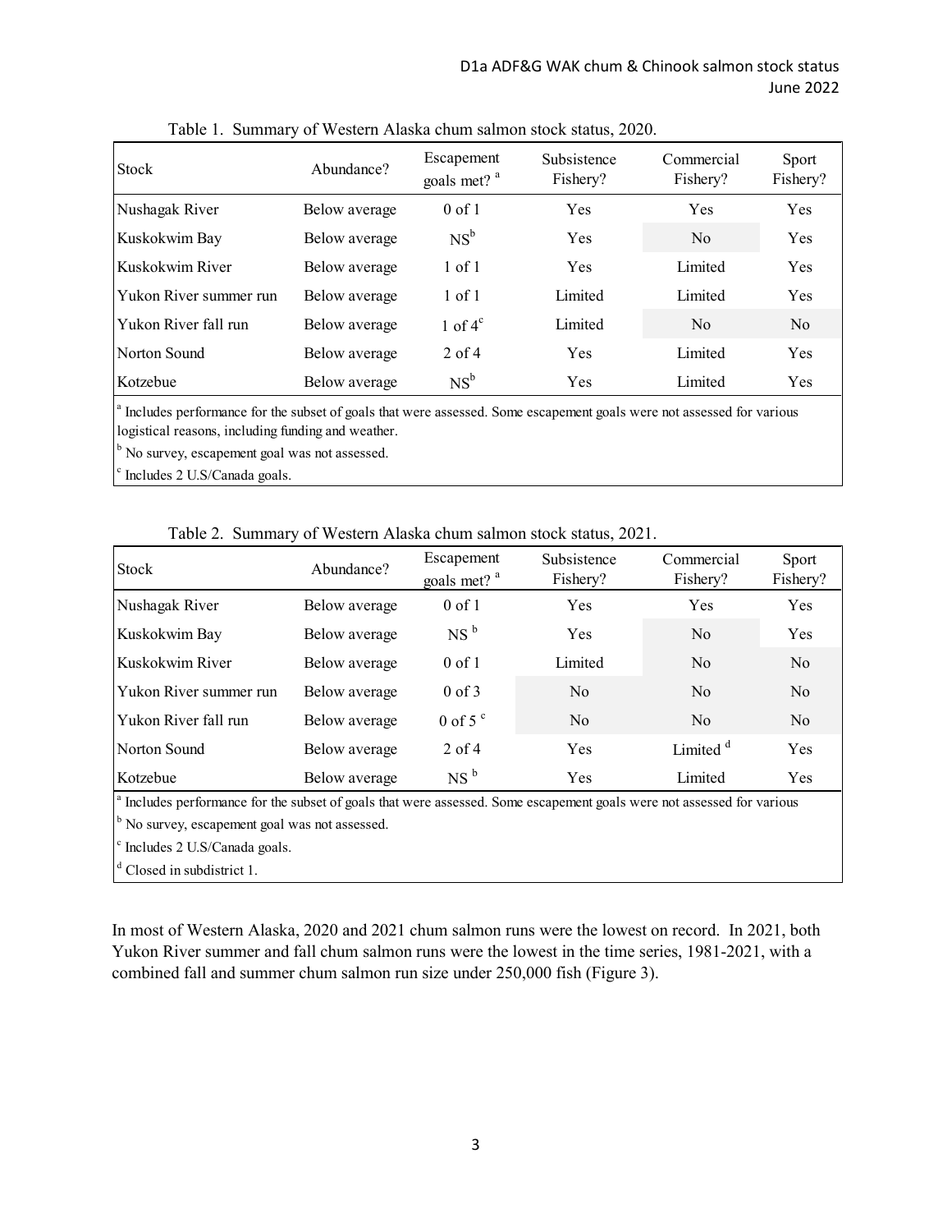| Stock                                                                                                                              | Abundance?    | Escapement<br>goals met? <sup>a</sup> | Subsistence<br>Fishery? | Commercial<br>Fishery? | Sport<br>Fishery? |
|------------------------------------------------------------------------------------------------------------------------------------|---------------|---------------------------------------|-------------------------|------------------------|-------------------|
| Nushagak River                                                                                                                     | Below average | $0$ of 1                              | Yes                     | <b>Yes</b>             | <b>Yes</b>        |
| Kuskokwim Bay                                                                                                                      | Below average | $NS^b$                                | Yes                     | No.                    | <b>Yes</b>        |
| Kuskokwim River                                                                                                                    | Below average | $1$ of $1$                            | Yes                     | Limited                | Yes               |
| Yukon River summer run                                                                                                             | Below average | $1$ of $1$                            | Limited                 | Limited                | Yes               |
| Yukon River fall run                                                                                                               | Below average | 1 of $4^{\circ}$                      | Limited                 | N <sub>0</sub>         | N <sub>o</sub>    |
| Norton Sound                                                                                                                       | Below average | $2$ of 4                              | Yes                     | Limited                | Yes               |
| Kotzebue                                                                                                                           | Below average | $NS^b$                                | Yes                     | Limited                | <b>Yes</b>        |
| $\frac{1}{2}$ Includes nonformance for the subset of soals that were assessed. Some assessment soals were not assessed for various |               |                                       |                         |                        |                   |

Table 1. Summary of Western Alaska chum salmon stock status, 2020.

 Includes performance for the subset of goals that were assessed. Some escapement goals were not assessed for various logistical reasons, including funding and weather.

<sup>b</sup> No survey, escapement goal was not assessed.

c Includes 2 U.S/Canada goals.

|  |  | Table 2. Summary of Western Alaska chum salmon stock status, 2021. |  |  |  |
|--|--|--------------------------------------------------------------------|--|--|--|
|--|--|--------------------------------------------------------------------|--|--|--|

| Stock                  | Abundance?    | Escapement<br>goals met? <sup>a</sup> | Subsistence<br>Fishery? | Commercial<br>Fishery? | Sport<br>Fishery? |
|------------------------|---------------|---------------------------------------|-------------------------|------------------------|-------------------|
| Nushagak River         | Below average | $0$ of 1                              | <b>Yes</b>              | Yes                    | <b>Yes</b>        |
| Kuskokwim Bay          | Below average | NS <sup>b</sup>                       | Yes                     | N <sub>0</sub>         | <b>Yes</b>        |
| Kuskokwim River        | Below average | $0$ of 1                              | Limited                 | N <sub>0</sub>         | No                |
| Yukon River summer run | Below average | $0 \text{ of } 3$                     | N <sub>0</sub>          | N <sub>0</sub>         | No                |
| Yukon River fall run   | Below average | $0$ of 5 $\degree$                    | N <sub>0</sub>          | N <sub>o</sub>         | No                |
| Norton Sound           | Below average | $2$ of 4                              | Yes                     | Limited <sup>d</sup>   | <b>Yes</b>        |
| Kotzebue               | Below average | NS <sup>b</sup>                       | Yes                     | Limited                | Yes               |

<sup>b</sup> No survey, escapement goal was not assessed. Includes performance for the subset of goals that were assessed. Some escapement goals were not assessed for various

c Includes 2 U.S/Canada goals.

<sup>d</sup> Closed in subdistrict 1.

In most of Western Alaska, 2020 and 2021 chum salmon runs were the lowest on record. In 2021, both Yukon River summer and fall chum salmon runs were the lowest in the time series, 1981-2021, with a combined fall and summer chum salmon run size under 250,000 fish (Figure 3).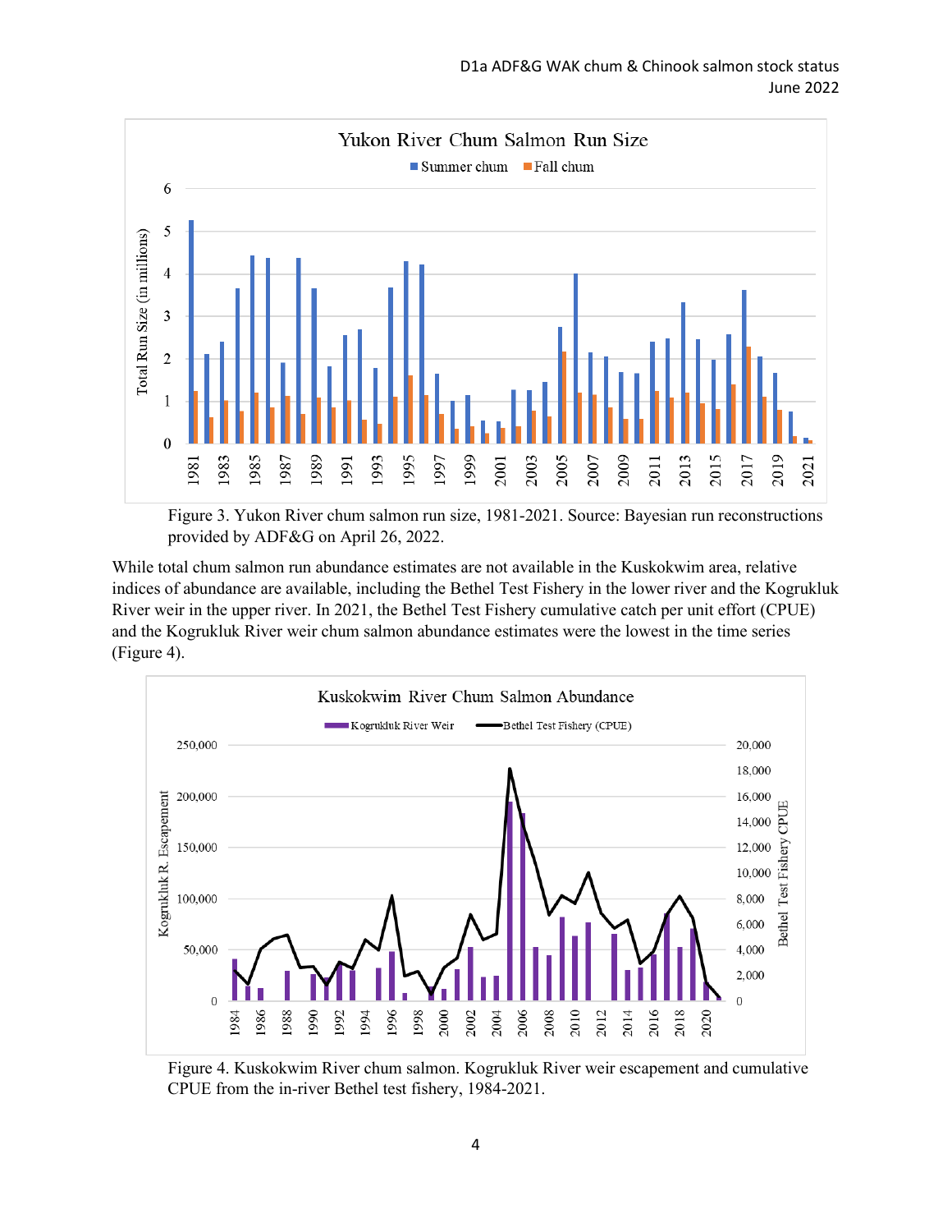

Figure 3. Yukon River chum salmon run size, 1981-2021. Source: Bayesian run reconstructions provided by ADF&G on April 26, 2022.

While total chum salmon run abundance estimates are not available in the Kuskokwim area, relative indices of abundance are available, including the Bethel Test Fishery in the lower river and the Kogrukluk River weir in the upper river. In 2021, the Bethel Test Fishery cumulative catch per unit effort (CPUE) and the Kogrukluk River weir chum salmon abundance estimates were the lowest in the time series (Figure 4).



Figure 4. Kuskokwim River chum salmon. Kogrukluk River weir escapement and cumulative CPUE from the in-river Bethel test fishery, 1984-2021.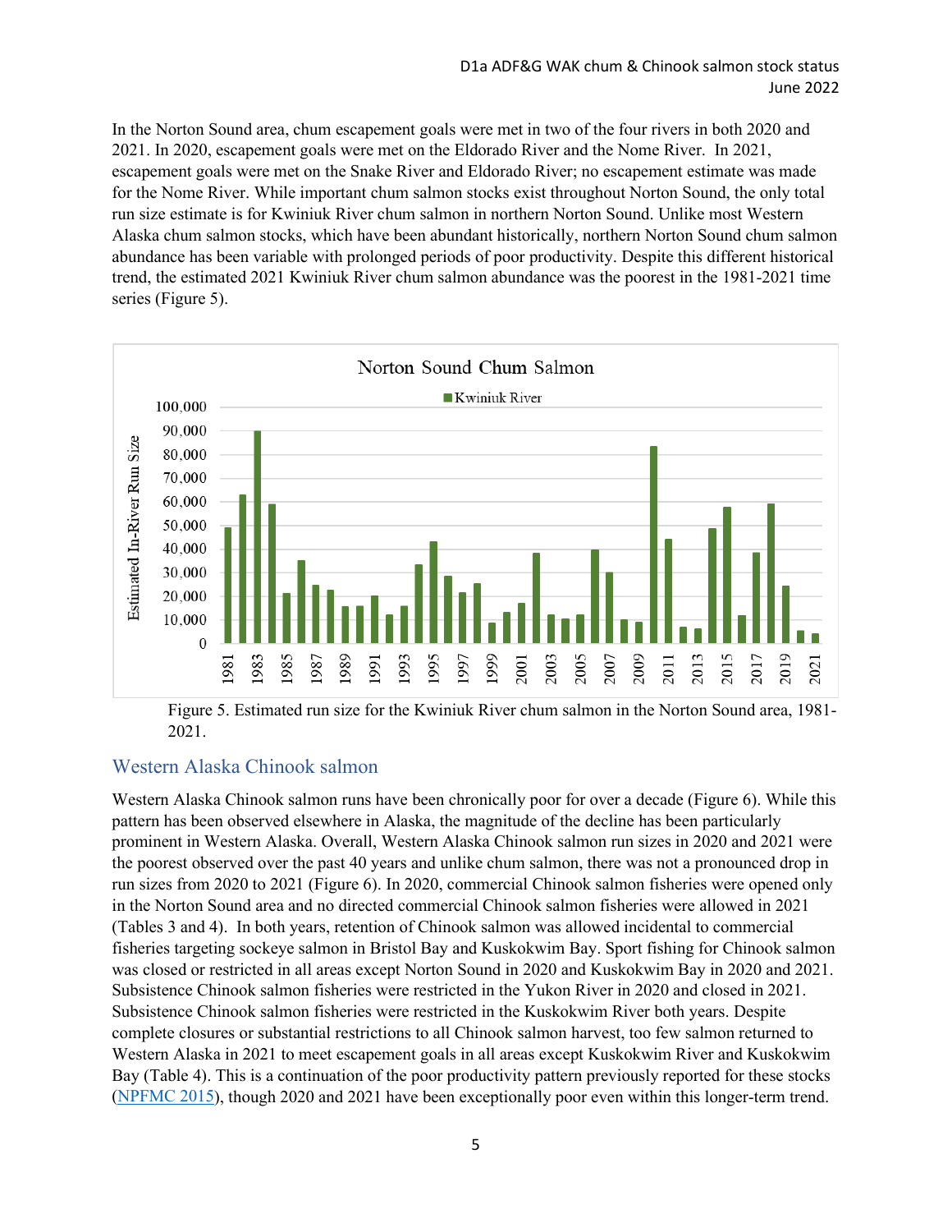In the Norton Sound area, chum escapement goals were met in two of the four rivers in both 2020 and 2021. In 2020, escapement goals were met on the Eldorado River and the Nome River. In 2021, escapement goals were met on the Snake River and Eldorado River; no escapement estimate was made for the Nome River. While important chum salmon stocks exist throughout Norton Sound, the only total run size estimate is for Kwiniuk River chum salmon in northern Norton Sound. Unlike most Western Alaska chum salmon stocks, which have been abundant historically, northern Norton Sound chum salmon abundance has been variable with prolonged periods of poor productivity. Despite this different historical trend, the estimated 2021 Kwiniuk River chum salmon abundance was the poorest in the 1981-2021 time series (Figure 5).



Figure 5. Estimated run size for the Kwiniuk River chum salmon in the Norton Sound area, 1981- 2021.

## Western Alaska Chinook salmon

Western Alaska Chinook salmon runs have been chronically poor for over a decade (Figure 6). While this pattern has been observed elsewhere in Alaska, the magnitude of the decline has been particularly prominent in Western Alaska. Overall, Western Alaska Chinook salmon run sizes in 2020 and 2021 were the poorest observed over the past 40 years and unlike chum salmon, there was not a pronounced drop in run sizes from 2020 to 2021 (Figure 6). In 2020, commercial Chinook salmon fisheries were opened only in the Norton Sound area and no directed commercial Chinook salmon fisheries were allowed in 2021 (Tables 3 and 4). In both years, retention of Chinook salmon was allowed incidental to commercial fisheries targeting sockeye salmon in Bristol Bay and Kuskokwim Bay. Sport fishing for Chinook salmon was closed or restricted in all areas except Norton Sound in 2020 and Kuskokwim Bay in 2020 and 2021. Subsistence Chinook salmon fisheries were restricted in the Yukon River in 2020 and closed in 2021. Subsistence Chinook salmon fisheries were restricted in the Kuskokwim River both years. Despite complete closures or substantial restrictions to all Chinook salmon harvest, too few salmon returned to Western Alaska in 2021 to meet escapement goals in all areas except Kuskokwim River and Kuskokwim Bay (Table 4). This is a continuation of the poor productivity pattern previously reported for these stocks [\(NPFMC 2015\)](https://meetings.npfmc.org/CommentReview/DownloadFile?p=8f035f2c-4852-41f6-ad45-dd05913298f0.pdf&fileName=C4%20Salmon%20Bycatch%20Public%20Review%200315.pdf), though 2020 and 2021 have been exceptionally poor even within this longer-term trend.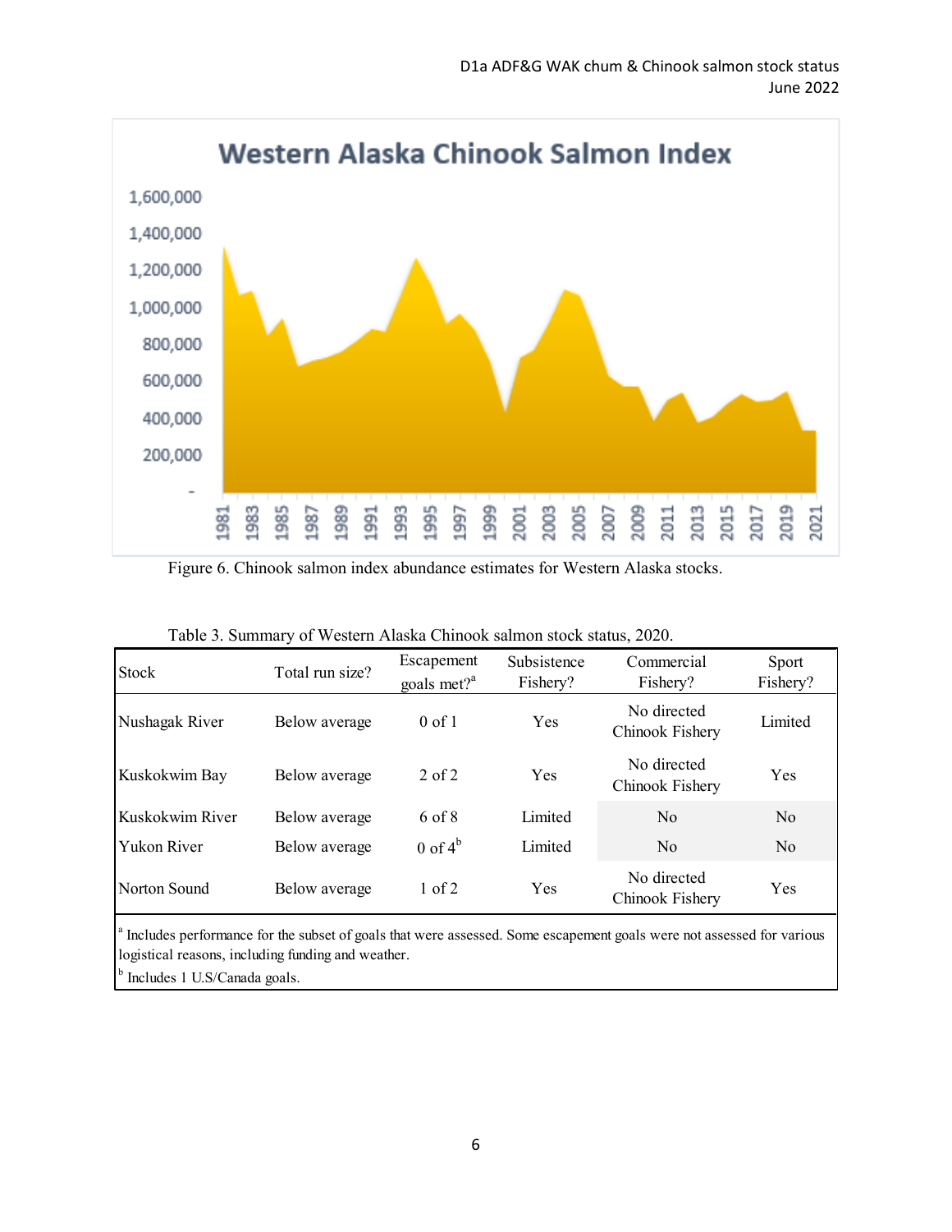

Figure 6. Chinook salmon index abundance estimates for Western Alaska stocks.

| <b>Stock</b>       | Total run size? | Escapement<br>goals met? $^{a}$ | Subsistence<br>Fishery? | Commercial<br>Fishery?         | Sport<br>Fishery? |
|--------------------|-----------------|---------------------------------|-------------------------|--------------------------------|-------------------|
| Nushagak River     | Below average   | $0 \text{ of } 1$               | Yes                     | No directed<br>Chinook Fishery | Limited           |
| Kuskokwim Bay      | Below average   | $2$ of $2$                      | Yes                     | No directed<br>Chinook Fishery | <b>Yes</b>        |
| Kuskokwim River    | Below average   | 6 of 8                          | Limited                 | No                             | N <sub>o</sub>    |
| <b>Yukon River</b> | Below average   | $0$ of $4^b$                    | Limited                 | No                             | No                |
| Norton Sound       | Below average   | $1$ of $2$                      | Yes                     | No directed<br>Chinook Fishery | Yes               |

|  |  |  | Table 3. Summary of Western Alaska Chinook salmon stock status, 2020. |  |
|--|--|--|-----------------------------------------------------------------------|--|
|  |  |  |                                                                       |  |

<sup>a</sup> Includes performance for the subset of goals that were assessed. Some escapement goals were not assessed for various logistical reasons, including funding and weather.

<sup>b</sup> Includes 1 U.S/Canada goals.